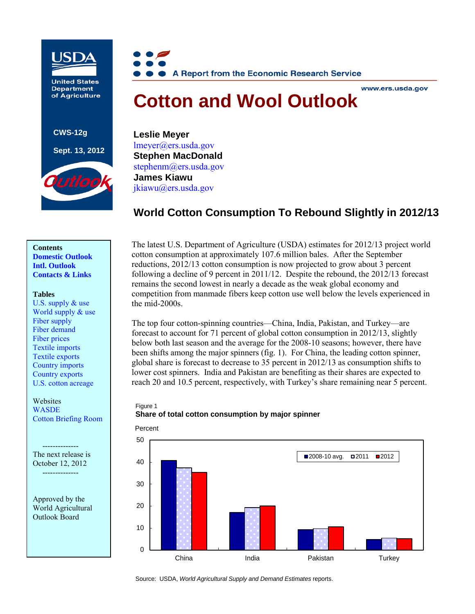

**United States Department** of Agriculture

**CWS-12g**

#### **Sept. 13, 2012**





#### www.ers.usda.gov

# **Cotton and Wool Outlook**

**Leslie Meyer**  [lmeyer@ers.usda.gov](mailto:lmeyer@ers.usda.gov)  **Stephen MacDonald**  stephenm@ers.usda.gov**James Kiawu** [jkiawu@ers.usda.gov](mailto:jkiawu@ers.usda.gov)

# **World Cotton Consumption To Rebound Slightly in 2012/13**

# **Contents**

**[Domestic Outlook](#page-1-0) [Intl. Outlook](#page-5-0) [Contacts & Links](#page-7-0)**

#### **Tables**

[U.S. supply & use](#page-8-0) World supply  $&$  use [Fiber supply](#page-10-0) [Fiber demand](#page-11-0) [Fiber prices](#page-12-0) [Textile imports](#page-13-0) [Textile exports](#page-14-0) [Country imports](#page-15-0) [Country exports](#page-16-0) [U.S. cotton acreage](#page-17-0)

# Websites

**[WASDE](http://usda.mannlib.cornell.edu/MannUsda/viewDocumentInfo.do?documentID=1194)** [Cotton Briefing Room](http://www.ers.usda.gov/topics/crops/cotton-wool.aspx)

The next release is October 12, 2012 --------------

Approved by the World Agricultural Outlook Board

The latest U.S. Department of Agriculture (USDA) estimates for 2012/13 project world cotton consumption at approximately 107.6 million bales. After the September reductions, 2012/13 cotton consumption is now projected to grow about 3 percent following a decline of 9 percent in 2011/12. Despite the rebound, the 2012/13 forecast remains the second lowest in nearly a decade as the weak global economy and competition from manmade fibers keep cotton use well below the levels experienced in the mid-2000s.

The top four cotton-spinning countries—China, India, Pakistan, and Turkey—are forecast to account for 71 percent of global cotton consumption in 2012/13, slightly below both last season and the average for the 2008-10 seasons; however, there have been shifts among the major spinners (fig. 1). For China, the leading cotton spinner, global share is forecast to decrease to 35 percent in 2012/13 as consumption shifts to lower cost spinners. India and Pakistan are benefiting as their shares are expected to reach 20 and 10.5 percent, respectively, with Turkey's share remaining near 5 percent.

#### Figure 1 **Share of total cotton consumption by major spinner**



Source: USDA, *World Agricultural Supply and Demand Estimates* reports.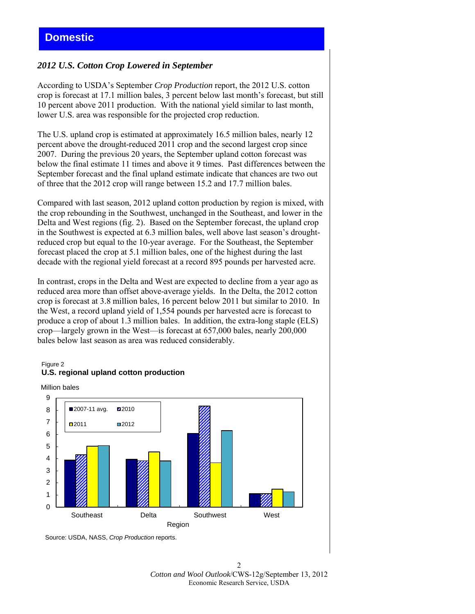## <span id="page-1-0"></span>*2012 U.S. Cotton Crop Lowered in September*

According to USDA's September *Crop Production* report, the 2012 U.S. cotton crop is forecast at 17.1 million bales, 3 percent below last month's forecast, but still 10 percent above 2011 production. With the national yield similar to last month, lower U.S. area was responsible for the projected crop reduction.

The U.S. upland crop is estimated at approximately 16.5 million bales, nearly 12 percent above the drought-reduced 2011 crop and the second largest crop since 2007. During the previous 20 years, the September upland cotton forecast was below the final estimate 11 times and above it 9 times. Past differences between the September forecast and the final upland estimate indicate that chances are two out of three that the 2012 crop will range between 15.2 and 17.7 million bales.

Compared with last season, 2012 upland cotton production by region is mixed, with the crop rebounding in the Southwest, unchanged in the Southeast, and lower in the Delta and West regions (fig. 2). Based on the September forecast, the upland crop in the Southwest is expected at 6.3 million bales, well above last season's droughtreduced crop but equal to the 10-year average. For the Southeast, the September forecast placed the crop at 5.1 million bales, one of the highest during the last decade with the regional yield forecast at a record 895 pounds per harvested acre.

In contrast, crops in the Delta and West are expected to decline from a year ago as reduced area more than offset above-average yields. In the Delta, the 2012 cotton crop is forecast at 3.8 million bales, 16 percent below 2011 but similar to 2010. In the West, a record upland yield of 1,554 pounds per harvested acre is forecast to produce a crop of about 1.3 million bales. In addition, the extra-long staple (ELS) crop—largely grown in the West—is forecast at 657,000 bales, nearly 200,000 bales below last season as area was reduced considerably.

#### Figure 2 **U.S. regional upland cotton production**





Source: USDA, NASS, *Crop Production* reports.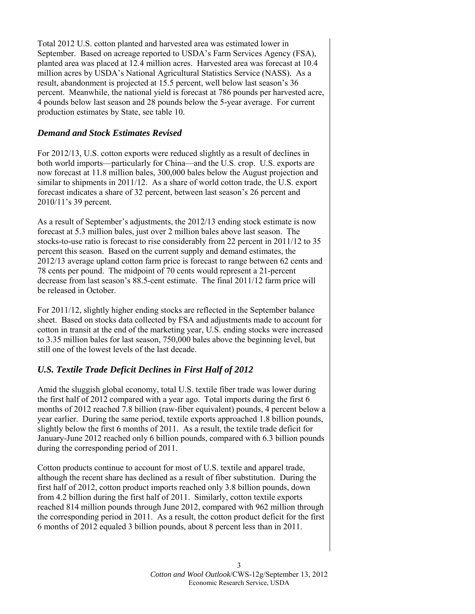Total 2012 U.S. cotton planted and harvested area was estimated lower in September. Based on acreage reported to USDA's Farm Services Agency (FSA), planted area was placed at 12.4 million acres. Harvested area was forecast at 10.4 million acres by USDA's National Agricultural Statistics Service (NASS). As a result, abandonment is projected at 15.5 percent, well below last season's 36 percent. Meanwhile, the national yield is forecast at 786 pounds per harvested acre, 4 pounds below last season and 28 pounds below the 5-year average. For current production estimates by State, see table 10.

## *Demand and Stock Estimates Revised*

For 2012/13, U.S. cotton exports were reduced slightly as a result of declines in both world imports—particularly for China—and the U.S. crop. U.S. exports are now forecast at 11.8 million bales, 300,000 bales below the August projection and similar to shipments in 2011/12. As a share of world cotton trade, the U.S. export forecast indicates a share of 32 percent, between last season's 26 percent and 2010/11's 39 percent.

As a result of September's adjustments, the 2012/13 ending stock estimate is now forecast at 5.3 million bales, just over 2 million bales above last season. The stocks-to-use ratio is forecast to rise considerably from 22 percent in 2011/12 to 35 percent this season. Based on the current supply and demand estimates, the 2012/13 average upland cotton farm price is forecast to range between 62 cents and 78 cents per pound. The midpoint of 70 cents would represent a 21-percent decrease from last season's 88.5-cent estimate. The final 2011/12 farm price will be released in October.

For 2011/12, slightly higher ending stocks are reflected in the September balance sheet. Based on stocks data collected by FSA and adjustments made to account for cotton in transit at the end of the marketing year, U.S. ending stocks were increased to 3.35 million bales for last season, 750,000 bales above the beginning level, but still one of the lowest levels of the last decade.

## *U.S. Textile Trade Deficit Declines in First Half of 2012*

Amid the sluggish global economy, total U.S. textile fiber trade was lower during the first half of 2012 compared with a year ago. Total imports during the first 6 months of 2012 reached 7.8 billion (raw-fiber equivalent) pounds, 4 percent below a year earlier. During the same period, textile exports approached 1.8 billion pounds, slightly below the first 6 months of 2011. As a result, the textile trade deficit for January-June 2012 reached only 6 billion pounds, compared with 6.3 billion pounds during the corresponding period of 2011.

Cotton products continue to account for most of U.S. textile and apparel trade, although the recent share has declined as a result of fiber substitution. During the first half of 2012, cotton product imports reached only 3.8 billion pounds, down from 4.2 billion during the first half of 2011. Similarly, cotton textile exports reached 814 million pounds through June 2012, compared with 962 million through the corresponding period in 2011. As a result, the cotton product deficit for the first 6 months of 2012 equaled 3 billion pounds, about 8 percent less than in 2011.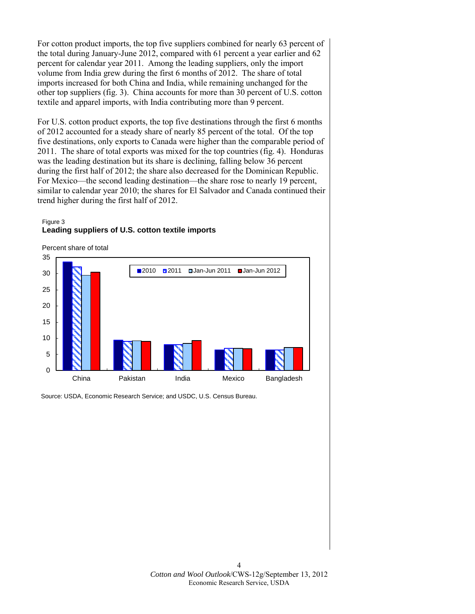For cotton product imports, the top five suppliers combined for nearly 63 percent of the total during January-June 2012, compared with 61 percent a year earlier and 62 percent for calendar year 2011. Among the leading suppliers, only the import volume from India grew during the first 6 months of 2012. The share of total imports increased for both China and India, while remaining unchanged for the other top suppliers (fig. 3). China accounts for more than 30 percent of U.S. cotton textile and apparel imports, with India contributing more than 9 percent.

For U.S. cotton product exports, the top five destinations through the first 6 months of 2012 accounted for a steady share of nearly 85 percent of the total. Of the top five destinations, only exports to Canada were higher than the comparable period of 2011. The share of total exports was mixed for the top countries (fig. 4). Honduras was the leading destination but its share is declining, falling below 36 percent during the first half of 2012; the share also decreased for the Dominican Republic. For Mexico—the second leading destination—the share rose to nearly 19 percent, similar to calendar year 2010; the shares for El Salvador and Canada continued their trend higher during the first half of 2012.

## Figure 3 **Leading suppliers of U.S. cotton textile imports**



Source: USDA, Economic Research Service; and USDC, U.S. Census Bureau.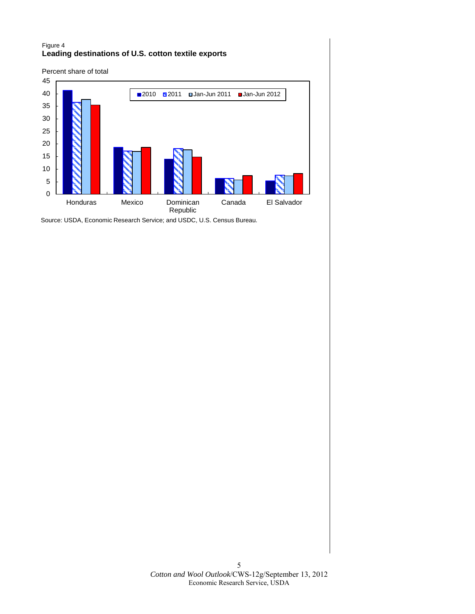#### Figure 4 **Leading destinations of U.S. cotton textile exports**



Source: USDA, Economic Research Service; and USDC, U.S. Census Bureau.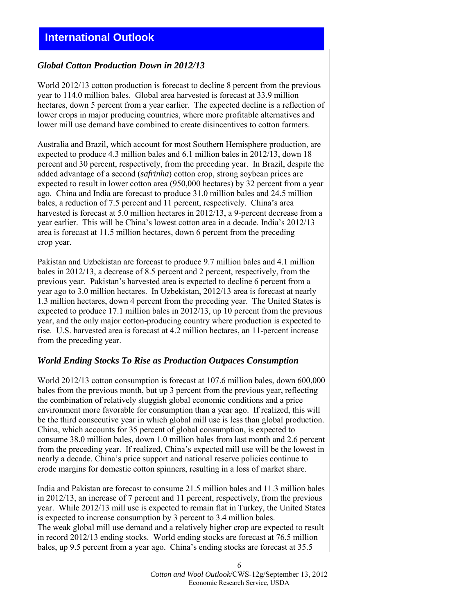# <span id="page-5-0"></span>**International Outlook**

## *Global Cotton Production Down in 2012/13*

World 2012/13 cotton production is forecast to decline 8 percent from the previous year to 114.0 million bales. Global area harvested is forecast at 33.9 million hectares, down 5 percent from a year earlier. The expected decline is a reflection of lower crops in major producing countries, where more profitable alternatives and lower mill use demand have combined to create disincentives to cotton farmers.

Australia and Brazil, which account for most Southern Hemisphere production, are expected to produce 4.3 million bales and 6.1 million bales in 2012/13, down 18 percent and 30 percent, respectively, from the preceding year. In Brazil, despite the added advantage of a second (*safrinha*) cotton crop, strong soybean prices are expected to result in lower cotton area (950,000 hectares) by 32 percent from a year ago. China and India are forecast to produce 31.0 million bales and 24.5 million bales, a reduction of 7.5 percent and 11 percent, respectively. China's area harvested is forecast at 5.0 million hectares in 2012/13, a 9-percent decrease from a year earlier. This will be China's lowest cotton area in a decade. India's 2012/13 area is forecast at 11.5 million hectares, down 6 percent from the preceding crop year.

Pakistan and Uzbekistan are forecast to produce 9.7 million bales and 4.1 million bales in 2012/13, a decrease of 8.5 percent and 2 percent, respectively, from the previous year. Pakistan's harvested area is expected to decline 6 percent from a year ago to 3.0 million hectares. In Uzbekistan, 2012/13 area is forecast at nearly 1.3 million hectares, down 4 percent from the preceding year. The United States is expected to produce 17.1 million bales in 2012/13, up 10 percent from the previous year, and the only major cotton-producing country where production is expected to rise. U.S. harvested area is forecast at 4.2 million hectares, an 11-percent increase from the preceding year.

## *World Ending Stocks To Rise as Production Outpaces Consumption*

World 2012/13 cotton consumption is forecast at 107.6 million bales, down 600,000 bales from the previous month, but up 3 percent from the previous year, reflecting the combination of relatively sluggish global economic conditions and a price environment more favorable for consumption than a year ago. If realized, this will be the third consecutive year in which global mill use is less than global production. China, which accounts for 35 percent of global consumption, is expected to consume 38.0 million bales, down 1.0 million bales from last month and 2.6 percent from the preceding year. If realized, China's expected mill use will be the lowest in nearly a decade. China's price support and national reserve policies continue to erode margins for domestic cotton spinners, resulting in a loss of market share.

India and Pakistan are forecast to consume 21.5 million bales and 11.3 million bales in 2012/13, an increase of 7 percent and 11 percent, respectively, from the previous year. While 2012/13 mill use is expected to remain flat in Turkey, the United States is expected to increase consumption by 3 percent to 3.4 million bales. The weak global mill use demand and a relatively higher crop are expected to result in record 2012/13 ending stocks. World ending stocks are forecast at 76.5 million bales, up 9.5 percent from a year ago. China's ending stocks are forecast at 35.5

> 6 *Cotton and Wool Outlook*/CWS-12g/September 13, 2012 Economic Research Service, USDA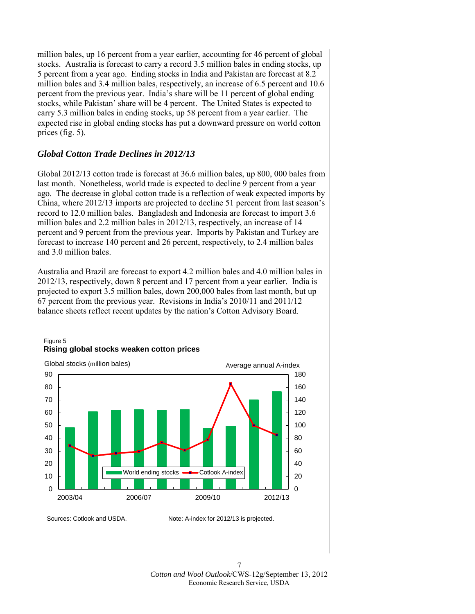million bales, up 16 percent from a year earlier, accounting for 46 percent of global stocks. Australia is forecast to carry a record 3.5 million bales in ending stocks, up 5 percent from a year ago. Ending stocks in India and Pakistan are forecast at 8.2 million bales and 3.4 million bales, respectively, an increase of 6.5 percent and 10.6 percent from the previous year. India's share will be 11 percent of global ending stocks, while Pakistan' share will be 4 percent. The United States is expected to carry 5.3 million bales in ending stocks, up 58 percent from a year earlier. The expected rise in global ending stocks has put a downward pressure on world cotton prices (fig. 5).

# *Global Cotton Trade Declines in 2012/13*

Global 2012/13 cotton trade is forecast at 36.6 million bales, up 800, 000 bales from last month. Nonetheless, world trade is expected to decline 9 percent from a year ago. The decrease in global cotton trade is a reflection of weak expected imports by China, where 2012/13 imports are projected to decline 51 percent from last season's record to 12.0 million bales. Bangladesh and Indonesia are forecast to import 3.6 million bales and 2.2 million bales in 2012/13, respectively, an increase of 14 percent and 9 percent from the previous year. Imports by Pakistan and Turkey are forecast to increase 140 percent and 26 percent, respectively, to 2.4 million bales and 3.0 million bales.

Australia and Brazil are forecast to export 4.2 million bales and 4.0 million bales in 2012/13, respectively, down 8 percent and 17 percent from a year earlier. India is projected to export 3.5 million bales, down 200,000 bales from last month, but up 67 percent from the previous year. Revisions in India's 2010/11 and 2011/12 balance sheets reflect recent updates by the nation's Cotton Advisory Board.



#### Figure 5 **Rising global stocks weaken cotton prices**

Sources: Cotlook and USDA. Note: A-index for 2012/13 is projected.

7 *Cotton and Wool Outlook*/CWS-12g/September 13, 2012 Economic Research Service, USDA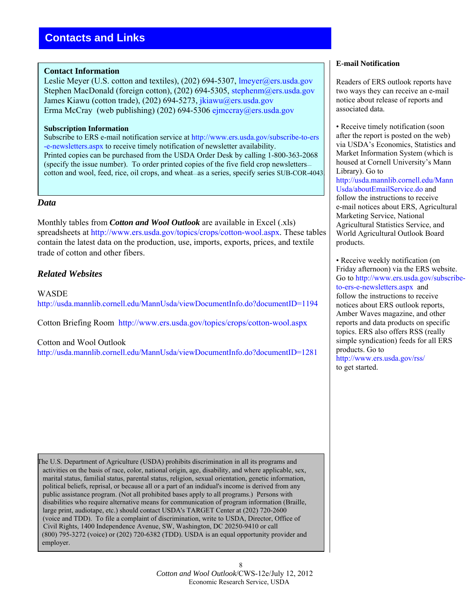#### <span id="page-7-0"></span>**Contact Information**

Leslie Meyer (U.S. cotton and textiles), (202) 694-5307, lmeyer@ers.usda.gov Stephen MacDonald (foreign cotton), (202) 694-5305, stephenm@ers.usda.gov James Kiawu (cotton trade), (202) 694-5273, [jkiawu@ers.usda.gov](mailto: jkiawu@ers.usda.gov) Erma McCray (web publishing) (202) 694-53[06 ejmccray@ers.usda.g](mailto: ejmccray@ers.usda.gov)ov

#### **Subscription Information**

Subscribe to ERS e-mail notification service at [http://www.ers.usda.gov/subscribe-to-ers](http://www.ers.usda.gov/subscribe-to-ers-e-newsletters.aspx) [-e-newsletters.aspx](http://www.ers.usda.gov/subscribe-to-ers-e-newsletters.aspx) to receive timely notification of newsletter availability. Printed copies can be purchased from the USDA Order Desk by calling 1-800-363-2068 (specify the issue number). To order printed copies of the five field crop newsletters cotton and wool, feed, rice, oil crops, and wheat—as a series, specify series SUB-COR-4043.

#### *Data*

r

Monthly tables from *Cotton and Wool Outlook* are available in Excel (.xls) spreadsheets at <http://www.ers.usda.gov/topics/crops/cotton-wool.aspx>. These tables contain the latest data on the production, use, imports, exports, prices, and textile trade of cotton and other fibers.

## *Related Websites*

WASDE <http://usda.mannlib.cornell.edu/MannUsda/viewDocumentInfo.do?documentID=1194>

Cotton Briefing Room <http://www.ers.usda.gov/topics/crops/cotton-wool.aspx>

#### Cotton and Wool Outlook

<http://usda.mannlib.cornell.edu/MannUsda/viewDocumentInfo.do?documentID=1281>

The U.S. Department of Agriculture (USDA) prohibits discrimination in all its programs and activities on the basis of race, color, national origin, age, disability, and where applicable, sex, marital status, familial status, parental status, religion, sexual orientation, genetic information, political beliefs, reprisal, or because all or a part of an indidual's income is derived from any public assistance program. (Not all prohibited bases apply to all programs.) Persons with disabilities who require alternative means for communication of program information (Braille, large print, audiotape, etc.) should contact USDA's TARGET Center at (202) 720-2600 (voice and TDD). To file a complaint of discrimination, write to USDA, Director, Office of Civil Rights, 1400 Independence Avenue, SW, Washington, DC 20250-9410 or call (800) 795-3272 (voice) or (202) 720-6382 (TDD). USDA is an equal opportunity provider and employer.

#### 8 *Cotton and Wool Outlook*/CWS-12e/July 12, 2012 Economic Research Service, USDA

#### **E-mail Notification**

Readers of ERS outlook reports have two ways they can receive an e-mail notice about release of reports and associated data.

• Receive timely notification (soon after the report is posted on the web) via USDA's Economics, Statistics and Market Information System (which is housed at Cornell University's Mann Library). Go to [http://usda.mannlib.cornell.edu/Mann](http://usda.mannlib.cornell.edu/MannUsda/aboutEmailService.do) [Usda/aboutEmailService.do](http://usda.mannlib.cornell.edu/MannUsda/aboutEmailService.do) and follow the instructions to receive e-mail notices about ERS, Agricultural Marketing Service, National Agricultural Statistics Service, and World Agricultural Outlook Board products.

• Receive weekly notification (on Friday afternoon) via the ERS website. Go to [http://www.ers.usda.gov/subscribe](http://www.ers.usda.gov/subscribe-to-ers-e-newsletters.aspx)[to-ers-e-newsletters.aspx](http://www.ers.usda.gov/subscribe-to-ers-e-newsletters.aspx) and follow the instructions to receive notices about ERS outlook reports, Amber Waves magazine, and other reports and data products on specific topics. ERS also offers RSS (really simple syndication) feeds for all ERS products. Go to <http://www.ers.usda.gov/rss/>

to get started.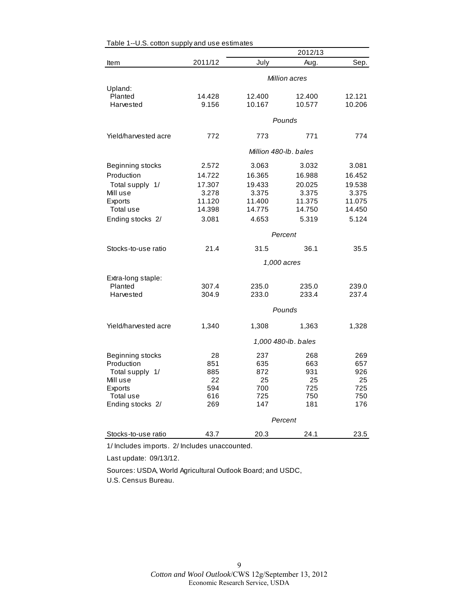<span id="page-8-0"></span>

|                      |                       |        | 2012/13             |        |
|----------------------|-----------------------|--------|---------------------|--------|
| Item                 | 2011/12               | July   | Aug.                | Sep.   |
|                      |                       |        | Million acres       |        |
| Upland:              |                       |        |                     |        |
| Planted              | 14.428                | 12.400 | 12.400              | 12.121 |
| Harvested            | 9.156                 | 10.167 | 10.577              | 10.206 |
|                      |                       |        | Pounds              |        |
| Yield/harvested acre | 772                   | 773    | 771                 | 774    |
|                      | Million 480-lb. bales |        |                     |        |
| Beginning stocks     | 2.572                 | 3.063  | 3.032               | 3.081  |
| Production           | 14.722                | 16.365 | 16.988              | 16.452 |
| Total supply 1/      | 17.307                | 19.433 | 20.025              | 19.538 |
| Mill use             | 3.278                 | 3.375  | 3.375               | 3.375  |
| <b>Exports</b>       | 11.120                | 11.400 | 11.375              | 11.075 |
| Total use            | 14.398                | 14.775 | 14.750              | 14.450 |
| Ending stocks 2/     | 3.081                 | 4.653  | 5.319               | 5.124  |
|                      |                       |        | Percent             |        |
| Stocks-to-use ratio  | 21.4                  | 31.5   | 36.1                | 35.5   |
|                      |                       |        | 1,000 acres         |        |
| Extra-long staple:   |                       |        |                     |        |
| Planted              | 307.4                 | 235.0  | 235.0               | 239.0  |
| Harvested            | 304.9                 | 233.0  | 233.4               | 237.4  |
|                      |                       |        | Pounds              |        |
| Yield/harvested acre | 1,340                 | 1,308  | 1,363               | 1,328  |
|                      |                       |        | 1,000 480-lb. bales |        |
| Beginning stocks     | 28                    | 237    | 268                 | 269    |
| Production           | 851                   | 635    | 663                 | 657    |
| Total supply 1/      | 885                   | 872    | 931                 | 926    |
| Mill use             | 22                    | 25     | 25                  | 25     |
| <b>Exports</b>       | 594                   | 700    | 725                 | 725    |
| Total use            | 616                   | 725    | 750                 | 750    |
| Ending stocks 2/     | 269                   | 147    | 181                 | 176    |
|                      |                       |        | Percent             |        |
| Stocks-to-use ratio  | 43.7                  | 20.3   | 24.1                | 23.5   |

1/ Includes imports. 2/ Includes unaccounted.

Last update: 09/13/12.

Sources: USDA, World Agricultural Outlook Board; and USDC, U.S. Census Bureau.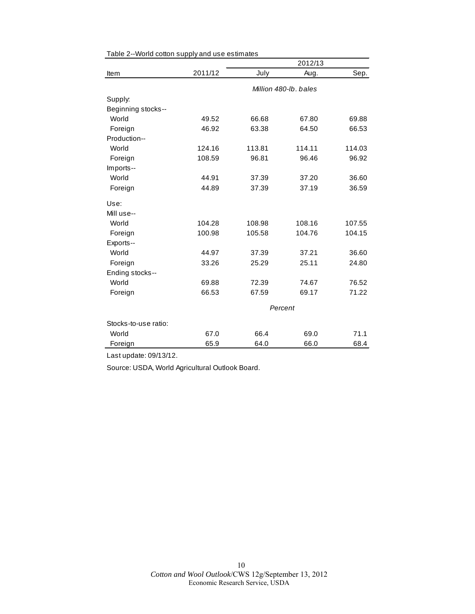|                      |         |        | 2012/13               |        |
|----------------------|---------|--------|-----------------------|--------|
| Item                 | 2011/12 | July   | Aug.                  | Sep.   |
|                      |         |        | Million 480-lb, bales |        |
| Supply:              |         |        |                       |        |
| Beginning stocks--   |         |        |                       |        |
| World                | 49.52   | 66.68  | 67.80                 | 69.88  |
| Foreign              | 46.92   | 63.38  | 64.50                 | 66.53  |
| Production--         |         |        |                       |        |
| World                | 124.16  | 113.81 | 114.11                | 114.03 |
| Foreign              | 108.59  | 96.81  | 96.46                 | 96.92  |
| Imports--            |         |        |                       |        |
| World                | 44.91   | 37.39  | 37.20                 | 36.60  |
| Foreign              | 44.89   | 37.39  | 37.19                 | 36.59  |
| Use:                 |         |        |                       |        |
| Mill use--           |         |        |                       |        |
| World                | 104.28  | 108.98 | 108.16                | 107.55 |
| Foreign              | 100.98  | 105.58 | 104.76                | 104.15 |
| Exports--            |         |        |                       |        |
| World                | 44.97   | 37.39  | 37.21                 | 36.60  |
| Foreign              | 33.26   | 25.29  | 25.11                 | 24.80  |
| Ending stocks--      |         |        |                       |        |
| World                | 69.88   | 72.39  | 74.67                 | 76.52  |
| Foreign              | 66.53   | 67.59  | 69.17                 | 71.22  |
|                      |         |        | Percent               |        |
| Stocks-to-use ratio: |         |        |                       |        |
| World                | 67.0    | 66.4   | 69.0                  | 71.1   |
| Foreign              | 65.9    | 64.0   | 66.0                  | 68.4   |

<span id="page-9-0"></span>

|  | Table 2--World cotton supply and use estimates |  |  |  |  |
|--|------------------------------------------------|--|--|--|--|
|--|------------------------------------------------|--|--|--|--|

Last update: 09/13/12.

Source: USDA, World Agricultural Outlook Board.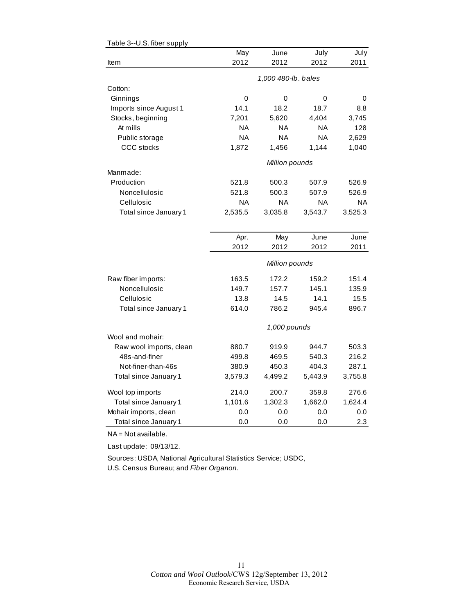<span id="page-10-0"></span>

| Table 3--U.S. fiber supply |           |                     |           |           |
|----------------------------|-----------|---------------------|-----------|-----------|
|                            | May       | June                | July      | July      |
| Item                       | 2012      | 2012                | 2012      | 2011      |
|                            |           | 1,000 480-lb. bales |           |           |
| Cotton:                    |           |                     |           |           |
| Ginnings                   | 0         | 0                   | 0         | 0         |
| Imports since August 1     | 14.1      | 18.2                | 18.7      | 8.8       |
| Stocks, beginning          | 7,201     | 5,620               | 4,404     | 3,745     |
| At mills                   | NA        | ΝA                  | <b>NA</b> | 128       |
| Public storage             | <b>NA</b> | <b>NA</b>           | <b>NA</b> | 2,629     |
| <b>CCC</b> stocks          | 1,872     | 1,456               | 1,144     | 1,040     |
|                            |           |                     |           |           |
|                            |           | Million pounds      |           |           |
| Manmade:                   |           |                     |           |           |
| Production                 | 521.8     | 500.3               | 507.9     | 526.9     |
| Noncellulosic              | 521.8     | 500.3               | 507.9     | 526.9     |
| Cellulosic                 | <b>NA</b> | <b>NA</b>           | ΝA        | <b>NA</b> |
| Total since January 1      | 2,535.5   | 3,035.8             | 3,543.7   | 3,525.3   |
|                            |           |                     |           |           |
|                            | Apr.      | May                 | June      | June      |
|                            | 2012      | 2012                | 2012      | 2011      |
|                            |           | Million pounds      |           |           |
| Raw fiber imports:         | 163.5     | 172.2               | 159.2     | 151.4     |
| Noncellulosic              | 149.7     | 157.7               | 145.1     | 135.9     |
| Cellulosic                 | 13.8      | 14.5                | 14.1      | 15.5      |
| Total since January 1      | 614.0     | 786.2               | 945.4     | 896.7     |
|                            |           |                     |           |           |
|                            |           | 1,000 pounds        |           |           |
| Wool and mohair:           |           |                     |           |           |
| Raw wool imports, clean    | 880.7     | 919.9               | 944.7     | 503.3     |
| 48s-and-finer              | 499.8     | 469.5               | 540.3     | 216.2     |
| Not-finer-than-46s         | 380.9     | 450.3               | 404.3     | 287.1     |
| Total since January 1      | 3,579.3   | 4,499.2             | 5,443.9   | 3,755.8   |
| Wool top imports           | 214.0     | 200.7               | 359.8     | 276.6     |
| Total since January 1      | 1,101.6   | 1,302.3             | 1,662.0   | 1,624.4   |
| Mohair imports, clean      | 0.0       | 0.0                 | 0.0       | 0.0       |
| Total since January 1      | 0.0       | 0.0                 | 0.0       | 2.3       |

NA = Not available.

Last update: 09/13/12.

Sources: USDA, National Agricultural Statistics Service; USDC, U.S. Census Bureau; and *Fiber Organon.*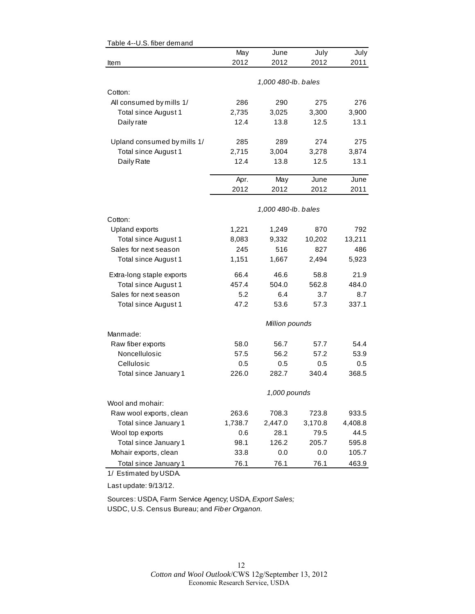| Table 4--U.S. fiber demand  |         |                     |         |         |
|-----------------------------|---------|---------------------|---------|---------|
|                             | May     | June                | July    | July    |
| Item                        | 2012    | 2012                | 2012    | 2011    |
|                             |         | 1,000 480-lb. bales |         |         |
| Cotton:                     |         |                     |         |         |
| All consumed by mills 1/    | 286     | 290                 | 275     | 276     |
| Total since August 1        | 2,735   | 3,025               | 3,300   | 3,900   |
| Daily rate                  | 12.4    | 13.8                | 12.5    | 13.1    |
| Upland consumed by mills 1/ | 285     | 289                 | 274     | 275     |
| Total since August 1        | 2,715   | 3,004               | 3,278   | 3,874   |
| Daily Rate                  | 12.4    | 13.8                | 12.5    | 13.1    |
|                             | Apr.    | May                 | June    | June    |
|                             | 2012    | 2012                | 2012    | 2011    |
|                             |         | 1,000 480-lb. bales |         |         |
| Cotton:                     |         |                     |         |         |
| <b>Upland exports</b>       | 1,221   | 1,249               | 870     | 792     |
| Total since August 1        | 8,083   | 9,332               | 10,202  | 13,211  |
| Sales for next season       | 245     | 516                 | 827     | 486     |
| Total since August 1        | 1,151   | 1,667               | 2,494   | 5,923   |
| Extra-long staple exports   | 66.4    | 46.6                | 58.8    | 21.9    |
| Total since August 1        | 457.4   | 504.0               | 562.8   | 484.0   |
| Sales for next season       | 5.2     | 6.4                 | 3.7     | 8.7     |
| Total since August 1        | 47.2    | 53.6                | 57.3    | 337.1   |
|                             |         | Million pounds      |         |         |
| Manmade:                    |         |                     |         |         |
| Raw fiber exports           | 58.0    | 56.7                | 57.7    | 54.4    |
| Noncellulosic               | 57.5    | 56.2                | 57.2    | 53.9    |
| Cellulosic                  | 0.5     | 0.5                 | 0.5     | 0.5     |
| Total since January 1       | 226.0   | 282.7               | 340.4   | 368.5   |
|                             |         | 1,000 pounds        |         |         |
| Wool and mohair:            |         |                     |         |         |
| Raw wool exports, clean     | 263.6   | 708.3               | 723.8   | 933.5   |
| Total since January 1       | 1,738.7 | 2,447.0             | 3,170.8 | 4,408.8 |
| Wool top exports            | 0.6     | 28.1                | 79.5    | 44.5    |
| Total since January 1       | 98.1    | 126.2               | 205.7   | 595.8   |
| Mohair exports, clean       | 33.8    | 0.0                 | 0.0     | 105.7   |
| Total since January 1       | 76.1    | 76.1                | 76.1    | 463.9   |

# <span id="page-11-0"></span> $T$ able 4--U.S. fiber demand

1/ Estimated by USDA.

Last update: 9/13/12.

Sources: USDA, Farm Service Agency; USDA, *Export Sales;* USDC, U.S. Census Bureau; and *Fiber Organon.*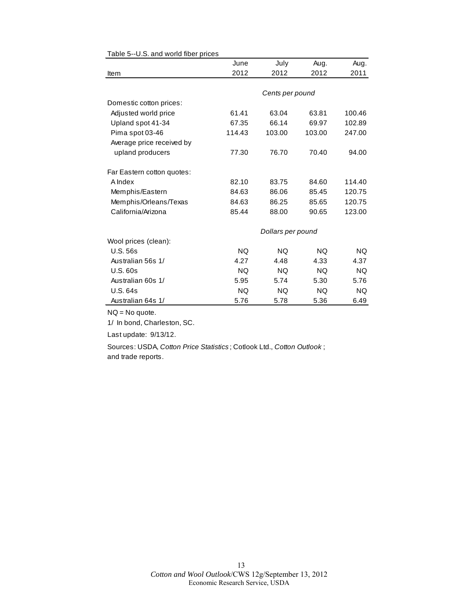|                            | June      | July              | Aug.      | Aug.      |
|----------------------------|-----------|-------------------|-----------|-----------|
| Item                       | 2012      | 2012              | 2012      | 2011      |
|                            |           |                   |           |           |
|                            |           | Cents per pound   |           |           |
| Domestic cotton prices:    |           |                   |           |           |
| Adjusted world price       | 61.41     | 63.04             | 63.81     | 100.46    |
| Upland spot 41-34          | 67.35     | 66.14             | 69.97     | 102.89    |
| Pima spot 03-46            | 114.43    | 103.00            | 103.00    | 247.00    |
| Average price received by  |           |                   |           |           |
| upland producers           | 77.30     | 76.70             | 70.40     | 94.00     |
| Far Eastern cotton quotes: |           |                   |           |           |
| A Index                    | 82.10     | 83.75             | 84.60     | 114.40    |
| Memphis/Eastern            | 84.63     | 86.06             | 85.45     | 120.75    |
| Memphis/Orleans/Texas      | 84.63     | 86.25             | 85.65     | 120.75    |
| California/Arizona         | 85.44     | 88.00             | 90.65     | 123.00    |
|                            |           | Dollars per pound |           |           |
| Wool prices (clean):       |           |                   |           |           |
| <b>U.S. 56s</b>            | <b>NQ</b> | <b>NQ</b>         | <b>NQ</b> | NQ.       |
| Australian 56s 1/          | 4.27      | 4.48              | 4.33      | 4.37      |
| <b>U.S. 60s</b>            | <b>NQ</b> | <b>NQ</b>         | <b>NQ</b> | <b>NQ</b> |
| Australian 60s 1/          | 5.95      | 5.74              | 5.30      | 5.76      |
| <b>U.S. 64s</b>            | NQ.       | NQ.               | NQ.       | NQ.       |
| Australian 64s 1/          | 5.76      | 5.78              | 5.36      | 6.49      |

#### <span id="page-12-0"></span>Table 5--U.S. and world fiber prices

NQ = No quote.

1/ In bond, Charleston, SC.

Last update: 9/13/12.

Sources: USDA, *Cotton Price Statistics* ; Cotlook Ltd., *Cotton Outlook* ; and trade reports.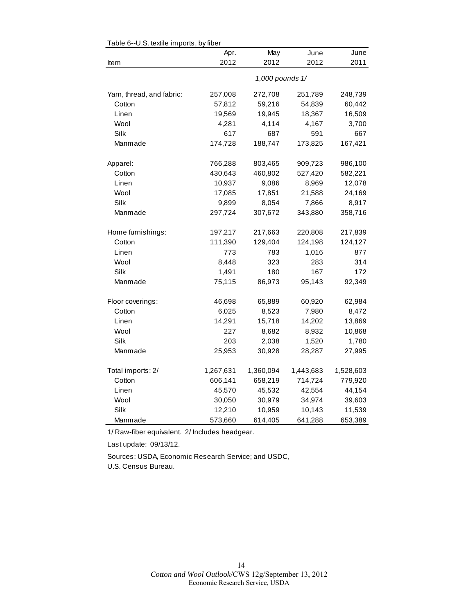| $0.0.00$ and $0.000$      |           |                 |           |           |
|---------------------------|-----------|-----------------|-----------|-----------|
|                           | Apr.      | May             | June      | June      |
| Item                      | 2012      | 2012            | 2012      | 2011      |
|                           |           | 1,000 pounds 1/ |           |           |
| Yarn, thread, and fabric: | 257,008   | 272,708         | 251,789   | 248,739   |
| Cotton                    | 57,812    | 59,216          | 54,839    | 60,442    |
| Linen                     | 19,569    | 19,945          | 18,367    | 16,509    |
| Wool                      | 4,281     | 4,114           | 4,167     | 3,700     |
| Silk                      | 617       | 687             | 591       | 667       |
| Manmade                   | 174,728   | 188,747         | 173,825   | 167,421   |
| Apparel:                  | 766,288   | 803,465         | 909,723   | 986,100   |
| Cotton                    | 430,643   | 460,802         | 527,420   | 582,221   |
| Linen                     | 10,937    | 9,086           | 8,969     | 12,078    |
| Wool                      | 17,085    | 17,851          | 21,588    | 24,169    |
| Silk                      | 9,899     | 8,054           | 7,866     | 8,917     |
| Manmade                   | 297,724   | 307,672         | 343,880   | 358,716   |
| Home furnishings:         | 197,217   | 217,663         | 220,808   | 217,839   |
| Cotton                    | 111,390   | 129,404         | 124,198   | 124,127   |
| Linen                     | 773       | 783             | 1,016     | 877       |
| Wool                      | 8,448     | 323             | 283       | 314       |
| Silk                      | 1,491     | 180             | 167       | 172       |
| Manmade                   | 75,115    | 86,973          | 95,143    | 92,349    |
| Floor coverings:          | 46,698    | 65,889          | 60,920    | 62,984    |
| Cotton                    | 6,025     | 8,523           | 7,980     | 8,472     |
| Linen                     | 14,291    | 15,718          | 14,202    | 13,869    |
| Wool                      | 227       | 8,682           | 8,932     | 10,868    |
| Silk                      | 203       | 2,038           | 1,520     | 1,780     |
| Manmade                   | 25,953    | 30,928          | 28,287    | 27,995    |
| Total imports: 2/         | 1,267,631 | 1,360,094       | 1,443,683 | 1,528,603 |
| Cotton                    | 606,141   | 658,219         | 714,724   | 779,920   |
| Linen                     | 45,570    | 45,532          | 42,554    | 44,154    |
| Wool                      | 30,050    | 30,979          | 34,974    | 39,603    |
| Silk                      | 12,210    | 10,959          | 10,143    | 11,539    |
| Manmade                   | 573,660   | 614,405         | 641,288   | 653,389   |

<span id="page-13-0"></span>Table 6--U.S. textile imports, by fiber

1/ Raw-fiber equivalent. 2/ Includes headgear.

Last update: 09/13/12.

Sources: USDA, Economic Research Service; and USDC, U.S. Census Bureau.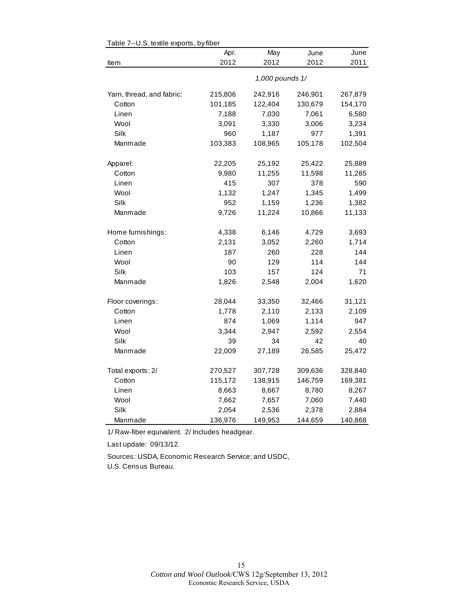| rable $r$ --0.5. lexule exports, by liber<br>Apr.<br>May<br>June<br>June |         |                 |         |         |  |  |
|--------------------------------------------------------------------------|---------|-----------------|---------|---------|--|--|
| Item                                                                     | 2012    | 2012            | 2012    | 2011    |  |  |
|                                                                          |         |                 |         |         |  |  |
|                                                                          |         | 1,000 pounds 1/ |         |         |  |  |
| Yarn, thread, and fabric:                                                | 215,806 | 242,916         | 246,901 | 267,879 |  |  |
| Cotton                                                                   | 101,185 | 122,404         | 130,679 | 154,170 |  |  |
| Linen                                                                    | 7,188   | 7,030           | 7,061   | 6,580   |  |  |
| Wool                                                                     | 3,091   | 3,330           | 3,006   | 3,234   |  |  |
| Silk                                                                     | 960     | 1,187           | 977     | 1,391   |  |  |
| Manmade                                                                  | 103,383 | 108,965         | 105,178 | 102,504 |  |  |
| Apparel:                                                                 | 22,205  | 25,192          | 25,422  | 25,889  |  |  |
| Cotton                                                                   | 9,980   | 11,255          | 11,598  | 11,285  |  |  |
| Linen                                                                    | 415     | 307             | 378     | 590     |  |  |
| Wool                                                                     | 1,132   | 1,247           | 1,345   | 1,499   |  |  |
| Silk                                                                     | 952     | 1,159           | 1,236   | 1,382   |  |  |
| Manmade                                                                  | 9,726   | 11,224          | 10,866  | 11,133  |  |  |
| Home furnishings:                                                        | 4,338   | 6,146           | 4,729   | 3,693   |  |  |
| Cotton                                                                   | 2,131   | 3,052           | 2,260   | 1,714   |  |  |
| Linen                                                                    | 187     | 260             | 228     | 144     |  |  |
| Wool                                                                     | 90      | 129             | 114     | 144     |  |  |
| Silk                                                                     | 103     | 157             | 124     | 71      |  |  |
| Manmade                                                                  | 1,826   | 2,548           | 2,004   | 1,620   |  |  |
| Floor coverings:                                                         | 28,044  | 33,350          | 32,466  | 31,121  |  |  |
| Cotton                                                                   | 1,778   | 2,110           | 2,133   | 2,109   |  |  |
| Linen                                                                    | 874     | 1,069           | 1,114   | 947     |  |  |
| Wool                                                                     | 3,344   | 2,947           | 2,592   | 2,554   |  |  |
| Silk                                                                     | 39      | 34              | 42      | 40      |  |  |
| Manmade                                                                  | 22,009  | 27,189          | 26,585  | 25,472  |  |  |
| Total exports: 2/                                                        | 270,527 | 307,728         | 309,636 | 328,840 |  |  |
| Cotton                                                                   | 115,172 | 138,915         | 146,759 | 169,381 |  |  |
| Linen                                                                    | 8,663   | 8,667           | 8,780   | 8,267   |  |  |
| Wool                                                                     | 7,662   | 7,657           | 7,060   | 7,440   |  |  |
| Silk                                                                     | 2,054   | 2,536           | 2,378   | 2,884   |  |  |
| Manmade                                                                  | 136,976 | 149,953         | 144,659 | 140,868 |  |  |

<span id="page-14-0"></span>Table 7--U.S. textile exports, by fiber

1/ Raw-fiber equivalent. 2/ Includes headgear.

Last update: 09/13/12.

Sources: USDA, Economic Research Service; and USDC, U.S. Census Bureau.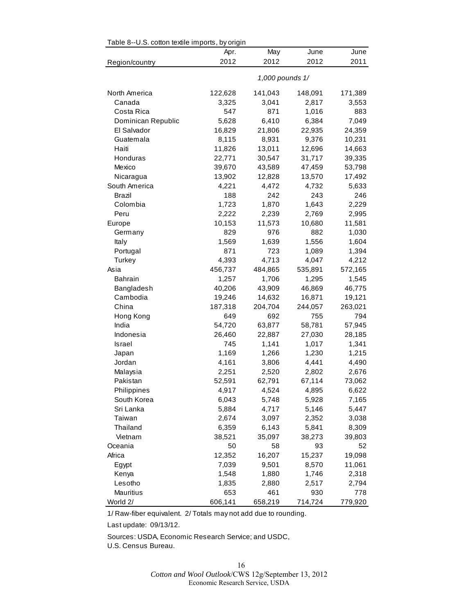<span id="page-15-0"></span>

| Table 8--U.S. cotton textile imports, by origin |         |                 |         |         |  |  |
|-------------------------------------------------|---------|-----------------|---------|---------|--|--|
|                                                 | Apr.    | May             | June    | June    |  |  |
| Region/country                                  | 2012    | 2012            | 2012    | 2011    |  |  |
|                                                 |         | 1,000 pounds 1/ |         |         |  |  |
| North America                                   | 122,628 | 141,043         | 148,091 | 171,389 |  |  |
| Canada                                          | 3,325   | 3,041           | 2,817   | 3,553   |  |  |
| Costa Rica                                      | 547     | 871             | 1,016   | 883     |  |  |
| Dominican Republic                              | 5,628   | 6,410           | 6,384   | 7,049   |  |  |
| El Salvador                                     | 16,829  | 21,806          | 22,935  | 24,359  |  |  |
| Guatemala                                       | 8,115   | 8,931           | 9,376   | 10,231  |  |  |
| Haiti                                           | 11,826  | 13,011          | 12,696  | 14,663  |  |  |
| Honduras                                        | 22,771  | 30,547          | 31,717  | 39,335  |  |  |
| Mexico                                          | 39,670  | 43,589          | 47,459  | 53,798  |  |  |
| Nicaragua                                       | 13,902  | 12,828          | 13,570  | 17,492  |  |  |
| South America                                   | 4,221   | 4,472           | 4,732   | 5,633   |  |  |
| Brazil                                          | 188     | 242             | 243     | 246     |  |  |
| Colombia                                        | 1,723   | 1,870           | 1,643   | 2,229   |  |  |
| Peru                                            | 2,222   | 2,239           | 2,769   | 2,995   |  |  |
| Europe                                          | 10,153  | 11,573          | 10,680  | 11,581  |  |  |
| Germany                                         | 829     | 976             | 882     | 1,030   |  |  |
| Italy                                           | 1,569   | 1,639           | 1,556   | 1,604   |  |  |
| Portugal                                        | 871     | 723             | 1,089   | 1,394   |  |  |
| Turkey                                          | 4,393   | 4,713           | 4,047   | 4,212   |  |  |
| Asia                                            | 456,737 | 484,865         | 535,891 | 572,165 |  |  |
| <b>Bahrain</b>                                  | 1,257   | 1,706           | 1,295   | 1,545   |  |  |
| Bangladesh                                      | 40,206  | 43,909          | 46,869  | 46,775  |  |  |
| Cambodia                                        | 19,246  | 14,632          | 16,871  | 19,121  |  |  |
| China                                           | 187,318 | 204,704         | 244,057 | 263,021 |  |  |
| Hong Kong                                       | 649     | 692             | 755     | 794     |  |  |
| India                                           | 54,720  | 63,877          | 58,781  | 57,945  |  |  |
| Indonesia                                       | 26,460  | 22,887          | 27,030  | 28,185  |  |  |
| Israel                                          | 745     | 1,141           | 1,017   | 1,341   |  |  |
| Japan                                           | 1,169   | 1,266           | 1,230   | 1,215   |  |  |
| Jordan                                          | 4,161   | 3,806           | 4,441   | 4,490   |  |  |
| Malaysia                                        | 2,251   | 2,520           | 2,802   | 2,676   |  |  |
| Pakistan                                        | 52,591  | 62,791          | 67,114  | 73,062  |  |  |
| Philippines                                     | 4,917   | 4,524           | 4,895   | 6,622   |  |  |
| South Korea                                     | 6,043   | 5,748           | 5,928   | 7,165   |  |  |
| Sri Lanka                                       | 5,884   | 4,717           | 5,146   | 5,447   |  |  |
| Taiwan                                          | 2,674   | 3,097           | 2,352   | 3,038   |  |  |
| Thailand                                        | 6,359   | 6,143           | 5,841   | 8,309   |  |  |
| Vietnam                                         | 38,521  | 35,097          | 38,273  | 39,803  |  |  |
| Oceania                                         | 50      | 58              | 93      | 52      |  |  |
| Africa                                          | 12,352  | 16,207          | 15,237  | 19,098  |  |  |
| Egypt                                           | 7,039   | 9,501           | 8,570   | 11,061  |  |  |
| Kenya                                           | 1,548   | 1,880           | 1,746   | 2,318   |  |  |
| Lesotho                                         | 1,835   | 2,880           | 2,517   | 2,794   |  |  |
| Mauritius                                       | 653     | 461             | 930     | 778     |  |  |
| World 2/                                        | 606,141 | 658,219         | 714,724 | 779,920 |  |  |

1/ Raw-fiber equivalent. 2/ Totals may not add due to rounding.

Last update: 09/13/12.

Sources: USDA, Economic Research Service; and USDC,

U.S. Census Bureau.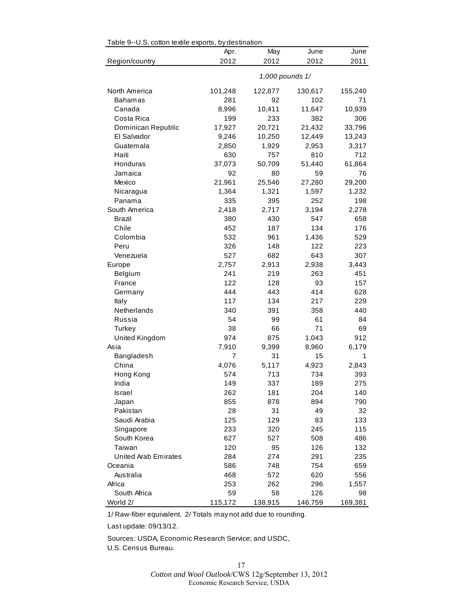<span id="page-16-0"></span>

| Apr.<br>May<br>June<br>June<br>2012<br>2012<br>2012<br>2011<br>Region/country<br>1,000 pounds 1/<br>101,248<br>122,877<br>155,240<br>North America<br>130,617<br>281<br>92<br>102<br>71<br>Bahamas<br>8,996<br>10,411<br>11,647<br>10,939<br>Canada<br>199<br>306<br>Costa Rica<br>233<br>382<br>17,927<br>Dominican Republic<br>20,721<br>21,432<br>33,796<br>12,449<br>9,246<br>10,250<br>13,243<br>El Salvador<br>2,850<br>1,929<br>2,953<br>3,317<br>Guatemala<br>630<br>712<br>Haiti<br>757<br>810<br>Honduras<br>37,073<br>50,709<br>51,440<br>61,864<br>92<br>80<br>59<br>76<br>Jamaica<br>Mexico<br>21,961<br>29,200<br>25,546<br>27,280<br>1,364<br>1,321<br>1,597<br>1,232<br>Nicaragua<br>335<br>395<br>252<br>198<br>Panama<br>South America<br>2,418<br>2,717<br>3,194<br>2,278<br>Brazil<br>380<br>430<br>547<br>658<br>Chile<br>134<br>452<br>187<br>176<br>532<br>Colombia<br>961<br>1,436<br>529<br>326<br>Peru<br>148<br>122<br>223<br>682<br>643<br>307<br>527<br>Venezuela<br>2,757<br>2,913<br>2,938<br>3,443<br>Europe<br>241<br>219<br>263<br>451<br>Belgium<br>122<br>93<br>France<br>128<br>157<br>444<br>443<br>414<br>628<br>Germany<br>134<br>229<br>117<br>217<br>Italy<br>Netherlands<br>340<br>391<br>358<br>440<br>54<br>61<br>Russia<br>99<br>84<br>38<br>71<br>Turkey<br>66<br>69<br>United Kingdom<br>974<br>875<br>1,043<br>912<br>7,910<br>Asia<br>9,399<br>8,960<br>6,179<br>31<br>15<br>Bangladesh<br>7<br>1<br>China<br>4,076<br>5,117<br>4,923<br>2,843<br>574<br>713<br>734<br>393<br>Hong Kong<br>149<br>337<br>189<br>275<br>India<br>262<br>181<br>204<br>140<br>Israel<br>790<br>855<br>878<br>894<br>Japan<br>Pakistan<br>28<br>31<br>49<br>32<br>Saudi Arabia<br>125<br>129<br>83<br>133<br>233<br>320<br>245<br>115<br>Singapore<br>South Korea<br>627<br>527<br>508<br>486<br>Taiwan<br>120<br>95<br>126<br>132<br><b>United Arab Emirates</b><br>284<br>274<br>291<br>235<br>586<br>748<br>754<br>659<br>Oceania<br>Australia<br>468<br>620<br>556<br>572<br>253<br>262<br>296<br>Africa<br>1,557<br>59<br>South Africa<br>58<br>126<br>98 | Table 9--U.S. cotton textile exports, by destination |         |         |         |         |  |
|-----------------------------------------------------------------------------------------------------------------------------------------------------------------------------------------------------------------------------------------------------------------------------------------------------------------------------------------------------------------------------------------------------------------------------------------------------------------------------------------------------------------------------------------------------------------------------------------------------------------------------------------------------------------------------------------------------------------------------------------------------------------------------------------------------------------------------------------------------------------------------------------------------------------------------------------------------------------------------------------------------------------------------------------------------------------------------------------------------------------------------------------------------------------------------------------------------------------------------------------------------------------------------------------------------------------------------------------------------------------------------------------------------------------------------------------------------------------------------------------------------------------------------------------------------------------------------------------------------------------------------------------------------------------------------------------------------------------------------------------------------------------------------------------------------------------------------------------------------------------------------------------------------------------------------------------------------------------------------------------------------------------------------------------------------------------------------------------------|------------------------------------------------------|---------|---------|---------|---------|--|
|                                                                                                                                                                                                                                                                                                                                                                                                                                                                                                                                                                                                                                                                                                                                                                                                                                                                                                                                                                                                                                                                                                                                                                                                                                                                                                                                                                                                                                                                                                                                                                                                                                                                                                                                                                                                                                                                                                                                                                                                                                                                                               |                                                      |         |         |         |         |  |
|                                                                                                                                                                                                                                                                                                                                                                                                                                                                                                                                                                                                                                                                                                                                                                                                                                                                                                                                                                                                                                                                                                                                                                                                                                                                                                                                                                                                                                                                                                                                                                                                                                                                                                                                                                                                                                                                                                                                                                                                                                                                                               |                                                      |         |         |         |         |  |
|                                                                                                                                                                                                                                                                                                                                                                                                                                                                                                                                                                                                                                                                                                                                                                                                                                                                                                                                                                                                                                                                                                                                                                                                                                                                                                                                                                                                                                                                                                                                                                                                                                                                                                                                                                                                                                                                                                                                                                                                                                                                                               |                                                      |         |         |         |         |  |
|                                                                                                                                                                                                                                                                                                                                                                                                                                                                                                                                                                                                                                                                                                                                                                                                                                                                                                                                                                                                                                                                                                                                                                                                                                                                                                                                                                                                                                                                                                                                                                                                                                                                                                                                                                                                                                                                                                                                                                                                                                                                                               |                                                      |         |         |         |         |  |
|                                                                                                                                                                                                                                                                                                                                                                                                                                                                                                                                                                                                                                                                                                                                                                                                                                                                                                                                                                                                                                                                                                                                                                                                                                                                                                                                                                                                                                                                                                                                                                                                                                                                                                                                                                                                                                                                                                                                                                                                                                                                                               |                                                      |         |         |         |         |  |
|                                                                                                                                                                                                                                                                                                                                                                                                                                                                                                                                                                                                                                                                                                                                                                                                                                                                                                                                                                                                                                                                                                                                                                                                                                                                                                                                                                                                                                                                                                                                                                                                                                                                                                                                                                                                                                                                                                                                                                                                                                                                                               |                                                      |         |         |         |         |  |
|                                                                                                                                                                                                                                                                                                                                                                                                                                                                                                                                                                                                                                                                                                                                                                                                                                                                                                                                                                                                                                                                                                                                                                                                                                                                                                                                                                                                                                                                                                                                                                                                                                                                                                                                                                                                                                                                                                                                                                                                                                                                                               |                                                      |         |         |         |         |  |
|                                                                                                                                                                                                                                                                                                                                                                                                                                                                                                                                                                                                                                                                                                                                                                                                                                                                                                                                                                                                                                                                                                                                                                                                                                                                                                                                                                                                                                                                                                                                                                                                                                                                                                                                                                                                                                                                                                                                                                                                                                                                                               |                                                      |         |         |         |         |  |
|                                                                                                                                                                                                                                                                                                                                                                                                                                                                                                                                                                                                                                                                                                                                                                                                                                                                                                                                                                                                                                                                                                                                                                                                                                                                                                                                                                                                                                                                                                                                                                                                                                                                                                                                                                                                                                                                                                                                                                                                                                                                                               |                                                      |         |         |         |         |  |
|                                                                                                                                                                                                                                                                                                                                                                                                                                                                                                                                                                                                                                                                                                                                                                                                                                                                                                                                                                                                                                                                                                                                                                                                                                                                                                                                                                                                                                                                                                                                                                                                                                                                                                                                                                                                                                                                                                                                                                                                                                                                                               |                                                      |         |         |         |         |  |
|                                                                                                                                                                                                                                                                                                                                                                                                                                                                                                                                                                                                                                                                                                                                                                                                                                                                                                                                                                                                                                                                                                                                                                                                                                                                                                                                                                                                                                                                                                                                                                                                                                                                                                                                                                                                                                                                                                                                                                                                                                                                                               |                                                      |         |         |         |         |  |
|                                                                                                                                                                                                                                                                                                                                                                                                                                                                                                                                                                                                                                                                                                                                                                                                                                                                                                                                                                                                                                                                                                                                                                                                                                                                                                                                                                                                                                                                                                                                                                                                                                                                                                                                                                                                                                                                                                                                                                                                                                                                                               |                                                      |         |         |         |         |  |
|                                                                                                                                                                                                                                                                                                                                                                                                                                                                                                                                                                                                                                                                                                                                                                                                                                                                                                                                                                                                                                                                                                                                                                                                                                                                                                                                                                                                                                                                                                                                                                                                                                                                                                                                                                                                                                                                                                                                                                                                                                                                                               |                                                      |         |         |         |         |  |
|                                                                                                                                                                                                                                                                                                                                                                                                                                                                                                                                                                                                                                                                                                                                                                                                                                                                                                                                                                                                                                                                                                                                                                                                                                                                                                                                                                                                                                                                                                                                                                                                                                                                                                                                                                                                                                                                                                                                                                                                                                                                                               |                                                      |         |         |         |         |  |
|                                                                                                                                                                                                                                                                                                                                                                                                                                                                                                                                                                                                                                                                                                                                                                                                                                                                                                                                                                                                                                                                                                                                                                                                                                                                                                                                                                                                                                                                                                                                                                                                                                                                                                                                                                                                                                                                                                                                                                                                                                                                                               |                                                      |         |         |         |         |  |
|                                                                                                                                                                                                                                                                                                                                                                                                                                                                                                                                                                                                                                                                                                                                                                                                                                                                                                                                                                                                                                                                                                                                                                                                                                                                                                                                                                                                                                                                                                                                                                                                                                                                                                                                                                                                                                                                                                                                                                                                                                                                                               |                                                      |         |         |         |         |  |
|                                                                                                                                                                                                                                                                                                                                                                                                                                                                                                                                                                                                                                                                                                                                                                                                                                                                                                                                                                                                                                                                                                                                                                                                                                                                                                                                                                                                                                                                                                                                                                                                                                                                                                                                                                                                                                                                                                                                                                                                                                                                                               |                                                      |         |         |         |         |  |
|                                                                                                                                                                                                                                                                                                                                                                                                                                                                                                                                                                                                                                                                                                                                                                                                                                                                                                                                                                                                                                                                                                                                                                                                                                                                                                                                                                                                                                                                                                                                                                                                                                                                                                                                                                                                                                                                                                                                                                                                                                                                                               |                                                      |         |         |         |         |  |
|                                                                                                                                                                                                                                                                                                                                                                                                                                                                                                                                                                                                                                                                                                                                                                                                                                                                                                                                                                                                                                                                                                                                                                                                                                                                                                                                                                                                                                                                                                                                                                                                                                                                                                                                                                                                                                                                                                                                                                                                                                                                                               |                                                      |         |         |         |         |  |
|                                                                                                                                                                                                                                                                                                                                                                                                                                                                                                                                                                                                                                                                                                                                                                                                                                                                                                                                                                                                                                                                                                                                                                                                                                                                                                                                                                                                                                                                                                                                                                                                                                                                                                                                                                                                                                                                                                                                                                                                                                                                                               |                                                      |         |         |         |         |  |
|                                                                                                                                                                                                                                                                                                                                                                                                                                                                                                                                                                                                                                                                                                                                                                                                                                                                                                                                                                                                                                                                                                                                                                                                                                                                                                                                                                                                                                                                                                                                                                                                                                                                                                                                                                                                                                                                                                                                                                                                                                                                                               |                                                      |         |         |         |         |  |
|                                                                                                                                                                                                                                                                                                                                                                                                                                                                                                                                                                                                                                                                                                                                                                                                                                                                                                                                                                                                                                                                                                                                                                                                                                                                                                                                                                                                                                                                                                                                                                                                                                                                                                                                                                                                                                                                                                                                                                                                                                                                                               |                                                      |         |         |         |         |  |
|                                                                                                                                                                                                                                                                                                                                                                                                                                                                                                                                                                                                                                                                                                                                                                                                                                                                                                                                                                                                                                                                                                                                                                                                                                                                                                                                                                                                                                                                                                                                                                                                                                                                                                                                                                                                                                                                                                                                                                                                                                                                                               |                                                      |         |         |         |         |  |
|                                                                                                                                                                                                                                                                                                                                                                                                                                                                                                                                                                                                                                                                                                                                                                                                                                                                                                                                                                                                                                                                                                                                                                                                                                                                                                                                                                                                                                                                                                                                                                                                                                                                                                                                                                                                                                                                                                                                                                                                                                                                                               |                                                      |         |         |         |         |  |
|                                                                                                                                                                                                                                                                                                                                                                                                                                                                                                                                                                                                                                                                                                                                                                                                                                                                                                                                                                                                                                                                                                                                                                                                                                                                                                                                                                                                                                                                                                                                                                                                                                                                                                                                                                                                                                                                                                                                                                                                                                                                                               |                                                      |         |         |         |         |  |
|                                                                                                                                                                                                                                                                                                                                                                                                                                                                                                                                                                                                                                                                                                                                                                                                                                                                                                                                                                                                                                                                                                                                                                                                                                                                                                                                                                                                                                                                                                                                                                                                                                                                                                                                                                                                                                                                                                                                                                                                                                                                                               |                                                      |         |         |         |         |  |
|                                                                                                                                                                                                                                                                                                                                                                                                                                                                                                                                                                                                                                                                                                                                                                                                                                                                                                                                                                                                                                                                                                                                                                                                                                                                                                                                                                                                                                                                                                                                                                                                                                                                                                                                                                                                                                                                                                                                                                                                                                                                                               |                                                      |         |         |         |         |  |
|                                                                                                                                                                                                                                                                                                                                                                                                                                                                                                                                                                                                                                                                                                                                                                                                                                                                                                                                                                                                                                                                                                                                                                                                                                                                                                                                                                                                                                                                                                                                                                                                                                                                                                                                                                                                                                                                                                                                                                                                                                                                                               |                                                      |         |         |         |         |  |
|                                                                                                                                                                                                                                                                                                                                                                                                                                                                                                                                                                                                                                                                                                                                                                                                                                                                                                                                                                                                                                                                                                                                                                                                                                                                                                                                                                                                                                                                                                                                                                                                                                                                                                                                                                                                                                                                                                                                                                                                                                                                                               |                                                      |         |         |         |         |  |
|                                                                                                                                                                                                                                                                                                                                                                                                                                                                                                                                                                                                                                                                                                                                                                                                                                                                                                                                                                                                                                                                                                                                                                                                                                                                                                                                                                                                                                                                                                                                                                                                                                                                                                                                                                                                                                                                                                                                                                                                                                                                                               |                                                      |         |         |         |         |  |
|                                                                                                                                                                                                                                                                                                                                                                                                                                                                                                                                                                                                                                                                                                                                                                                                                                                                                                                                                                                                                                                                                                                                                                                                                                                                                                                                                                                                                                                                                                                                                                                                                                                                                                                                                                                                                                                                                                                                                                                                                                                                                               |                                                      |         |         |         |         |  |
|                                                                                                                                                                                                                                                                                                                                                                                                                                                                                                                                                                                                                                                                                                                                                                                                                                                                                                                                                                                                                                                                                                                                                                                                                                                                                                                                                                                                                                                                                                                                                                                                                                                                                                                                                                                                                                                                                                                                                                                                                                                                                               |                                                      |         |         |         |         |  |
|                                                                                                                                                                                                                                                                                                                                                                                                                                                                                                                                                                                                                                                                                                                                                                                                                                                                                                                                                                                                                                                                                                                                                                                                                                                                                                                                                                                                                                                                                                                                                                                                                                                                                                                                                                                                                                                                                                                                                                                                                                                                                               |                                                      |         |         |         |         |  |
|                                                                                                                                                                                                                                                                                                                                                                                                                                                                                                                                                                                                                                                                                                                                                                                                                                                                                                                                                                                                                                                                                                                                                                                                                                                                                                                                                                                                                                                                                                                                                                                                                                                                                                                                                                                                                                                                                                                                                                                                                                                                                               |                                                      |         |         |         |         |  |
|                                                                                                                                                                                                                                                                                                                                                                                                                                                                                                                                                                                                                                                                                                                                                                                                                                                                                                                                                                                                                                                                                                                                                                                                                                                                                                                                                                                                                                                                                                                                                                                                                                                                                                                                                                                                                                                                                                                                                                                                                                                                                               |                                                      |         |         |         |         |  |
|                                                                                                                                                                                                                                                                                                                                                                                                                                                                                                                                                                                                                                                                                                                                                                                                                                                                                                                                                                                                                                                                                                                                                                                                                                                                                                                                                                                                                                                                                                                                                                                                                                                                                                                                                                                                                                                                                                                                                                                                                                                                                               |                                                      |         |         |         |         |  |
|                                                                                                                                                                                                                                                                                                                                                                                                                                                                                                                                                                                                                                                                                                                                                                                                                                                                                                                                                                                                                                                                                                                                                                                                                                                                                                                                                                                                                                                                                                                                                                                                                                                                                                                                                                                                                                                                                                                                                                                                                                                                                               |                                                      |         |         |         |         |  |
|                                                                                                                                                                                                                                                                                                                                                                                                                                                                                                                                                                                                                                                                                                                                                                                                                                                                                                                                                                                                                                                                                                                                                                                                                                                                                                                                                                                                                                                                                                                                                                                                                                                                                                                                                                                                                                                                                                                                                                                                                                                                                               |                                                      |         |         |         |         |  |
|                                                                                                                                                                                                                                                                                                                                                                                                                                                                                                                                                                                                                                                                                                                                                                                                                                                                                                                                                                                                                                                                                                                                                                                                                                                                                                                                                                                                                                                                                                                                                                                                                                                                                                                                                                                                                                                                                                                                                                                                                                                                                               |                                                      |         |         |         |         |  |
|                                                                                                                                                                                                                                                                                                                                                                                                                                                                                                                                                                                                                                                                                                                                                                                                                                                                                                                                                                                                                                                                                                                                                                                                                                                                                                                                                                                                                                                                                                                                                                                                                                                                                                                                                                                                                                                                                                                                                                                                                                                                                               |                                                      |         |         |         |         |  |
|                                                                                                                                                                                                                                                                                                                                                                                                                                                                                                                                                                                                                                                                                                                                                                                                                                                                                                                                                                                                                                                                                                                                                                                                                                                                                                                                                                                                                                                                                                                                                                                                                                                                                                                                                                                                                                                                                                                                                                                                                                                                                               |                                                      |         |         |         |         |  |
|                                                                                                                                                                                                                                                                                                                                                                                                                                                                                                                                                                                                                                                                                                                                                                                                                                                                                                                                                                                                                                                                                                                                                                                                                                                                                                                                                                                                                                                                                                                                                                                                                                                                                                                                                                                                                                                                                                                                                                                                                                                                                               |                                                      |         |         |         |         |  |
|                                                                                                                                                                                                                                                                                                                                                                                                                                                                                                                                                                                                                                                                                                                                                                                                                                                                                                                                                                                                                                                                                                                                                                                                                                                                                                                                                                                                                                                                                                                                                                                                                                                                                                                                                                                                                                                                                                                                                                                                                                                                                               |                                                      |         |         |         |         |  |
|                                                                                                                                                                                                                                                                                                                                                                                                                                                                                                                                                                                                                                                                                                                                                                                                                                                                                                                                                                                                                                                                                                                                                                                                                                                                                                                                                                                                                                                                                                                                                                                                                                                                                                                                                                                                                                                                                                                                                                                                                                                                                               |                                                      |         |         |         |         |  |
|                                                                                                                                                                                                                                                                                                                                                                                                                                                                                                                                                                                                                                                                                                                                                                                                                                                                                                                                                                                                                                                                                                                                                                                                                                                                                                                                                                                                                                                                                                                                                                                                                                                                                                                                                                                                                                                                                                                                                                                                                                                                                               |                                                      |         |         |         |         |  |
|                                                                                                                                                                                                                                                                                                                                                                                                                                                                                                                                                                                                                                                                                                                                                                                                                                                                                                                                                                                                                                                                                                                                                                                                                                                                                                                                                                                                                                                                                                                                                                                                                                                                                                                                                                                                                                                                                                                                                                                                                                                                                               |                                                      |         |         |         |         |  |
|                                                                                                                                                                                                                                                                                                                                                                                                                                                                                                                                                                                                                                                                                                                                                                                                                                                                                                                                                                                                                                                                                                                                                                                                                                                                                                                                                                                                                                                                                                                                                                                                                                                                                                                                                                                                                                                                                                                                                                                                                                                                                               |                                                      |         |         |         |         |  |
|                                                                                                                                                                                                                                                                                                                                                                                                                                                                                                                                                                                                                                                                                                                                                                                                                                                                                                                                                                                                                                                                                                                                                                                                                                                                                                                                                                                                                                                                                                                                                                                                                                                                                                                                                                                                                                                                                                                                                                                                                                                                                               | World 2/                                             | 115,172 | 138,915 | 146,759 | 169,381 |  |

1/ Raw-fiber equivalent. 2/ Totals may not add due to rounding.

Last update: 09/13/12.

Sources: USDA, Economic Research Service; and USDC,

U.S. Census Bureau.